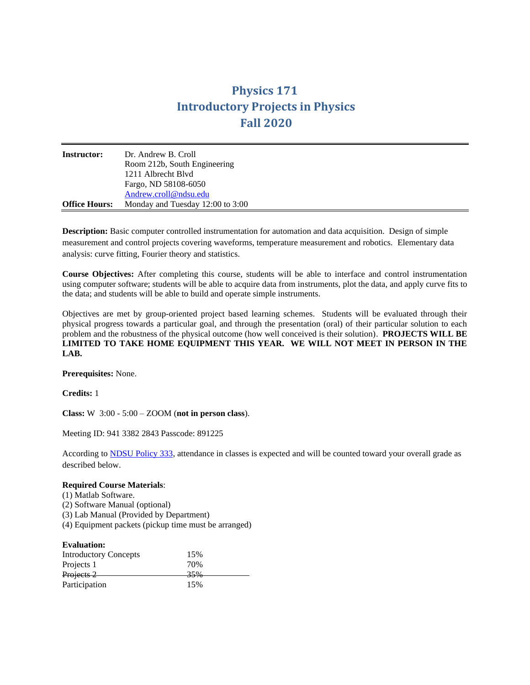## **Physics 171 Introductory Projects in Physics Fall 2020**

| <b>Instructor:</b>   | Dr. Andrew B. Croll<br>Room 212b, South Engineering |
|----------------------|-----------------------------------------------------|
|                      | 1211 Albrecht Blyd                                  |
|                      | Fargo, ND 58108-6050                                |
|                      | Andrew.croll@ndsu.edu                               |
| <b>Office Hours:</b> | Monday and Tuesday 12:00 to 3:00                    |

**Description:** Basic computer controlled instrumentation for automation and data acquisition. Design of simple measurement and control projects covering waveforms, temperature measurement and robotics. Elementary data analysis: curve fitting, Fourier theory and statistics.

**Course Objectives:** After completing this course, students will be able to interface and control instrumentation using computer software; students will be able to acquire data from instruments, plot the data, and apply curve fits to the data; and students will be able to build and operate simple instruments.

Objectives are met by group-oriented project based learning schemes. Students will be evaluated through their physical progress towards a particular goal, and through the presentation (oral) of their particular solution to each problem and the robustness of the physical outcome (how well conceived is their solution). **PROJECTS WILL BE LIMITED TO TAKE HOME EQUIPMENT THIS YEAR. WE WILL NOT MEET IN PERSON IN THE LAB.**

**Prerequisites:** None.

**Credits:** 1

**Class:** W 3:00 - 5:00 – ZOOM (**not in person class**).

Meeting ID: 941 3382 2843 Passcode: 891225

According to [NDSU Policy 333,](http://www.ndsu.edu/fileadmin/policy/333.pdf) attendance in classes is expected and will be counted toward your overall grade as described below.

## **Required Course Materials**:

- (1) Matlab Software.
- (2) Software Manual (optional)
- (3) Lab Manual (Provided by Department)
- (4) Equipment packets (pickup time must be arranged)

| <b>Evaluation:</b>           |     |  |
|------------------------------|-----|--|
| <b>Introductory Concepts</b> | 15% |  |
| Projects 1                   | 70% |  |
| Projects 2                   | 35% |  |
| Participation                | 15% |  |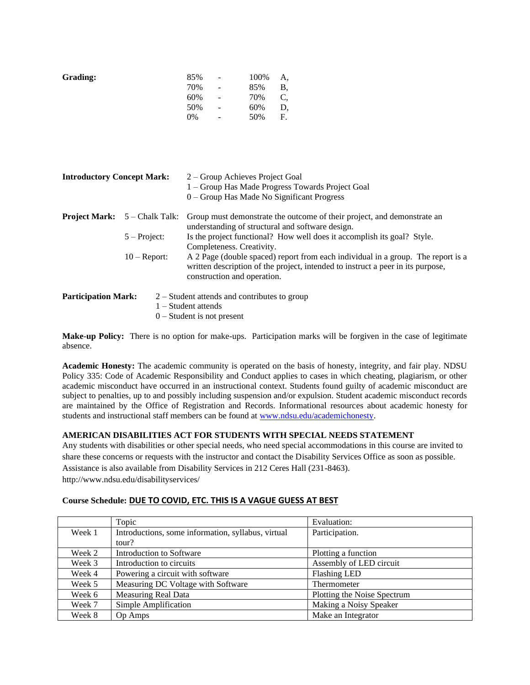| 85% | $\overline{\phantom{m}}$ | 100% | А, |
|-----|--------------------------|------|----|
| 70% | $\qquad \qquad -$        | 85%  | B, |
| 60% | $\qquad \qquad -$        | 70%  | С, |
| 50% | $\overline{\phantom{0}}$ | 60%  | D, |
| 0%  | -                        | 50%  | F. |
|     |                          |      |    |

| <b>Introductory Concept Mark:</b> |                                        | 2 – Group Achieves Project Goal<br>1 - Group Has Made Progress Towards Project Goal<br>$0 -$ Group Has Made No Significant Progress                                                                |
|-----------------------------------|----------------------------------------|----------------------------------------------------------------------------------------------------------------------------------------------------------------------------------------------------|
|                                   | <b>Project Mark:</b> $5 -$ Chalk Talk: | Group must demonstrate the outcome of their project, and demonstrate an<br>understanding of structural and software design.                                                                        |
|                                   | $5 - Project:$                         | Is the project functional? How well does it accomplish its goal? Style.<br>Completeness. Creativity.                                                                                               |
|                                   | $10 -$ Report:                         | A 2 Page (double spaced) report from each individual in a group. The report is a<br>written description of the project, intended to instruct a peer in its purpose,<br>construction and operation. |
| <b>Participation Mark:</b>        |                                        | $2 -$ Student attends and contributes to group<br>$1 -$ Student attends<br>$0$ – Student is not present                                                                                            |

**Make-up Policy:** There is no option for make-ups. Participation marks will be forgiven in the case of legitimate absence.

**Academic Honesty:** The academic community is operated on the basis of honesty, integrity, and fair play. NDSU Policy 335: Code of Academic Responsibility and Conduct applies to cases in which cheating, plagiarism, or other academic misconduct have occurred in an instructional context. Students found guilty of academic misconduct are subject to penalties, up to and possibly including suspension and/or expulsion. Student academic misconduct records are maintained by the Office of Registration and Records. Informational resources about academic honesty for students and instructional staff members can be found at [www.ndsu.edu/academichonesty.](http://www.ndsu.edu/academichonesty)

## **AMERICAN DISABILITIES ACT FOR STUDENTS WITH SPECIAL NEEDS STATEMENT**

Any students with disabilities or other special needs, who need special accommodations in this course are invited to share these concerns or requests with the instructor and contact the Disability Services Office as soon as possible. Assistance is also available from Disability Services in 212 Ceres Hall (231-8463). http://www.ndsu.edu/disabilityservices/

## **Course Schedule: DUE TO COVID, ETC. THIS IS A VAGUE GUESS AT BEST**

|        | Topic                                              | Evaluation:                 |
|--------|----------------------------------------------------|-----------------------------|
| Week 1 | Introductions, some information, syllabus, virtual | Participation.              |
|        | tour?                                              |                             |
| Week 2 | Introduction to Software                           | Plotting a function         |
| Week 3 | Introduction to circuits                           | Assembly of LED circuit     |
| Week 4 | Powering a circuit with software                   | <b>Flashing LED</b>         |
| Week 5 | Measuring DC Voltage with Software                 | Thermometer                 |
| Week 6 | <b>Measuring Real Data</b>                         | Plotting the Noise Spectrum |
| Week 7 | Simple Amplification                               | Making a Noisy Speaker      |
| Week 8 | <b>Op Amps</b>                                     | Make an Integrator          |